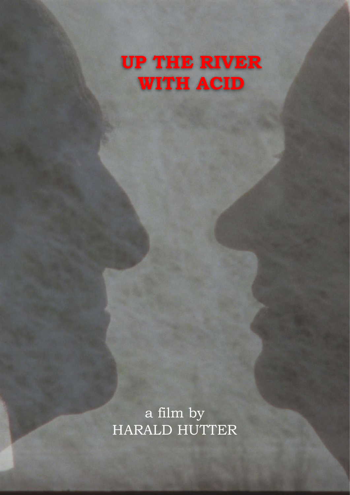## **UP THE RIVER WITH ACID**

a film by HARALD HUTTER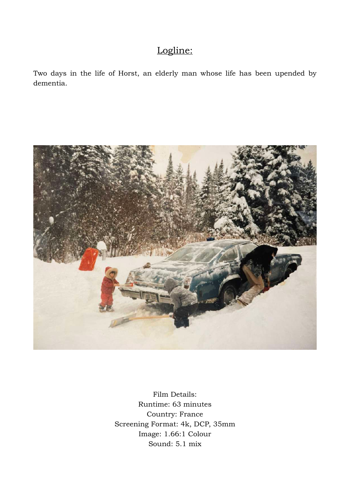## Logline:

Two days in the life of Horst, an elderly man whose life has been upended by dementia.



Film Details: Runtime: 63 minutes Country: France Screening Format: 4k, DCP, 35mm Image: 1.66:1 Colour Sound: 5.1 mix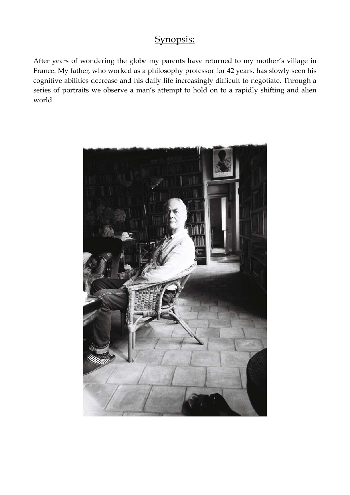## Synopsis:

After years of wondering the globe my parents have returned to my mother's village in France. My father, who worked as a philosophy professor for 42 years, has slowly seen his cognitive abilities decrease and his daily life increasingly difficult to negotiate. Through a series of portraits we observe a man's attempt to hold on to a rapidly shifting and alien world.

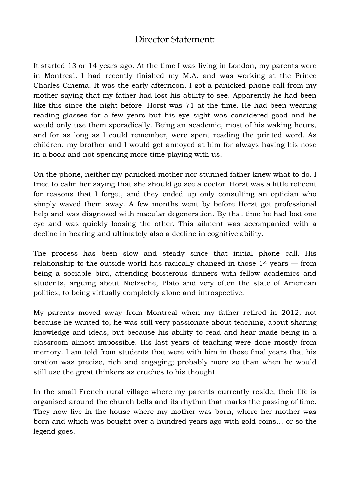## Director Statement:

It started 13 or 14 years ago. At the time I was living in London, my parents were in Montreal. I had recently finished my M.A. and was working at the Prince Charles Cinema. It was the early afternoon. I got a panicked phone call from my mother saying that my father had lost his ability to see. Apparently he had been like this since the night before. Horst was 71 at the time. He had been wearing reading glasses for a few years but his eye sight was considered good and he would only use them sporadically. Being an academic, most of his waking hours, and for as long as I could remember, were spent reading the printed word. As children, my brother and I would get annoyed at him for always having his nose in a book and not spending more time playing with us.

On the phone, neither my panicked mother nor stunned father knew what to do. I tried to calm her saying that she should go see a doctor. Horst was a little reticent for reasons that I forget, and they ended up only consulting an optician who simply waved them away. A few months went by before Horst got professional help and was diagnosed with macular degeneration. By that time he had lost one eye and was quickly loosing the other. This ailment was accompanied with a decline in hearing and ultimately also a decline in cognitive ability.

The process has been slow and steady since that initial phone call. His relationship to the outside world has radically changed in those 14 years — from being a sociable bird, attending boisterous dinners with fellow academics and students, arguing about Nietzsche, Plato and very often the state of American politics, to being virtually completely alone and introspective.

My parents moved away from Montreal when my father retired in 2012; not because he wanted to, he was still very passionate about teaching, about sharing knowledge and ideas, but because his ability to read and hear made being in a classroom almost impossible. His last years of teaching were done mostly from memory. I am told from students that were with him in those final years that his oration was precise, rich and engaging; probably more so than when he would still use the great thinkers as cruches to his thought.

In the small French rural village where my parents currently reside, their life is organised around the church bells and its rhythm that marks the passing of time. They now live in the house where my mother was born, where her mother was born and which was bought over a hundred years ago with gold coins… or so the legend goes.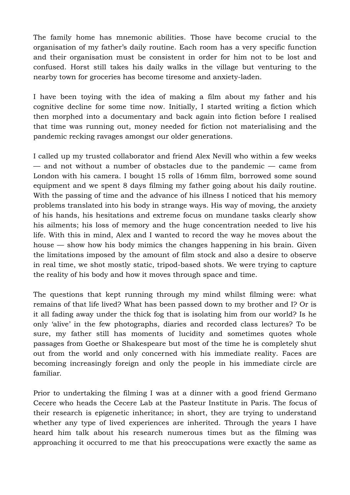The family home has mnemonic abilities. Those have become crucial to the organisation of my father's daily routine. Each room has a very specific function and their organisation must be consistent in order for him not to be lost and confused. Horst still takes his daily walks in the village but venturing to the nearby town for groceries has become tiresome and anxiety-laden.

I have been toying with the idea of making a film about my father and his cognitive decline for some time now. Initially, I started writing a fiction which then morphed into a documentary and back again into fiction before I realised that time was running out, money needed for fiction not materialising and the pandemic recking ravages amongst our older generations.

I called up my trusted collaborator and friend Alex Nevill who within a few weeks — and not without a number of obstacles due to the pandemic — came from London with his camera. I bought 15 rolls of 16mm film, borrowed some sound equipment and we spent 8 days filming my father going about his daily routine. With the passing of time and the advance of his illness I noticed that his memory problems translated into his body in strange ways. His way of moving, the anxiety of his hands, his hesitations and extreme focus on mundane tasks clearly show his ailments; his loss of memory and the huge concentration needed to live his life. With this in mind, Alex and I wanted to record the way he moves about the house — show how his body mimics the changes happening in his brain. Given the limitations imposed by the amount of film stock and also a desire to observe in real time, we shot mostly static, tripod-based shots. We were trying to capture the reality of his body and how it moves through space and time.

The questions that kept running through my mind whilst filming were: what remains of that life lived? What has been passed down to my brother and I? Or is it all fading away under the thick fog that is isolating him from our world? Is he only 'alive' in the few photographs, diaries and recorded class lectures? To be sure, my father still has moments of lucidity and sometimes quotes whole passages from Goethe or Shakespeare but most of the time he is completely shut out from the world and only concerned with his immediate reality. Faces are becoming increasingly foreign and only the people in his immediate circle are familiar.

Prior to undertaking the filming I was at a dinner with a good friend Germano Cecere who heads the Cecere Lab at the Pasteur Institute in Paris. The focus of their research is epigenetic inheritance; in short, they are trying to understand whether any type of lived experiences are inherited. Through the years I have heard him talk about his research numerous times but as the filming was approaching it occurred to me that his preoccupations were exactly the same as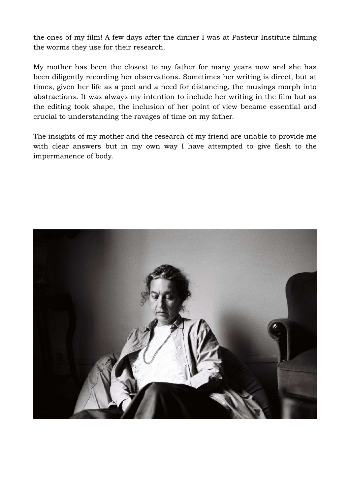the ones of my film! A few days after the dinner I was at Pasteur Institute filming the worms they use for their research.

My mother has been the closest to my father for many years now and she has been diligently recording her observations. Sometimes her writing is direct, but at times, given her life as a poet and a need for distancing, the musings morph into abstractions. It was always my intention to include her writing in the film but as the editing took shape, the inclusion of her point of view became essential and crucial to understanding the ravages of time on my father.

The insights of my mother and the research of my friend are unable to provide me with clear answers but in my own way I have attempted to give flesh to the impermanence of body.